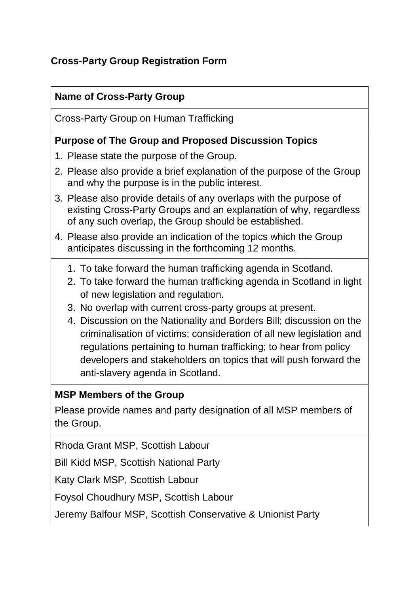## **Cross-Party Group Registration Form**

### **Name of Cross-Party Group**

Cross-Party Group on Human Trafficking

#### **Purpose of The Group and Proposed Discussion Topics**

- 1. Please state the purpose of the Group.
- 2. Please also provide a brief explanation of the purpose of the Group and why the purpose is in the public interest.
- 3. Please also provide details of any overlaps with the purpose of existing Cross-Party Groups and an explanation of why, regardless of any such overlap, the Group should be established.
- 4. Please also provide an indication of the topics which the Group anticipates discussing in the forthcoming 12 months.
	- 1. To take forward the human trafficking agenda in Scotland.
	- 2. To take forward the human trafficking agenda in Scotland in light of new legislation and regulation.
	- 3. No overlap with current cross-party groups at present.
	- 4. Discussion on the Nationality and Borders Bill; discussion on the criminalisation of victims; consideration of all new legislation and regulations pertaining to human trafficking; to hear from policy developers and stakeholders on topics that will push forward the anti-slavery agenda in Scotland.

#### **MSP Members of the Group**

Please provide names and party designation of all MSP members of the Group.

Rhoda Grant MSP, Scottish Labour

Bill Kidd MSP, Scottish National Party

Katy Clark MSP, Scottish Labour

Foysol Choudhury MSP, Scottish Labour

Jeremy Balfour MSP, Scottish Conservative & Unionist Party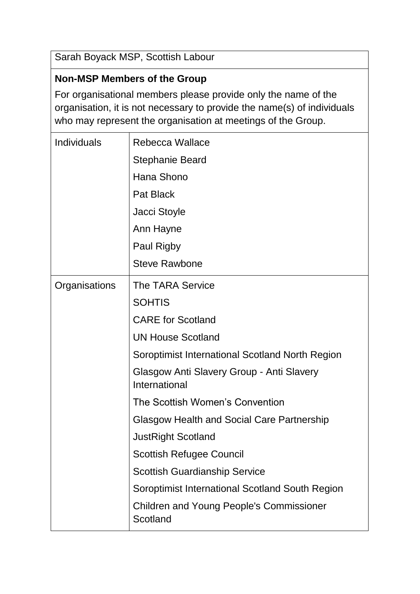Sarah Boyack MSP, Scottish Labour

## **Non-MSP Members of the Group**

For organisational members please provide only the name of the organisation, it is not necessary to provide the name(s) of individuals who may represent the organisation at meetings of the Group.

| Individuals   | Rebecca Wallace                                             |
|---------------|-------------------------------------------------------------|
|               | <b>Stephanie Beard</b>                                      |
|               | Hana Shono                                                  |
|               | <b>Pat Black</b>                                            |
|               | Jacci Stoyle                                                |
|               | Ann Hayne                                                   |
|               | <b>Paul Rigby</b>                                           |
|               | <b>Steve Rawbone</b>                                        |
| Organisations | The TARA Service                                            |
|               | <b>SOHTIS</b>                                               |
|               | <b>CARE</b> for Scotland                                    |
|               | <b>UN House Scotland</b>                                    |
|               | Soroptimist International Scotland North Region             |
|               | Glasgow Anti Slavery Group - Anti Slavery<br>International  |
|               | The Scottish Women's Convention                             |
|               | Glasgow Health and Social Care Partnership                  |
|               | <b>JustRight Scotland</b>                                   |
|               | <b>Scottish Refugee Council</b>                             |
|               | <b>Scottish Guardianship Service</b>                        |
|               | Soroptimist International Scotland South Region             |
|               | <b>Children and Young People's Commissioner</b><br>Scotland |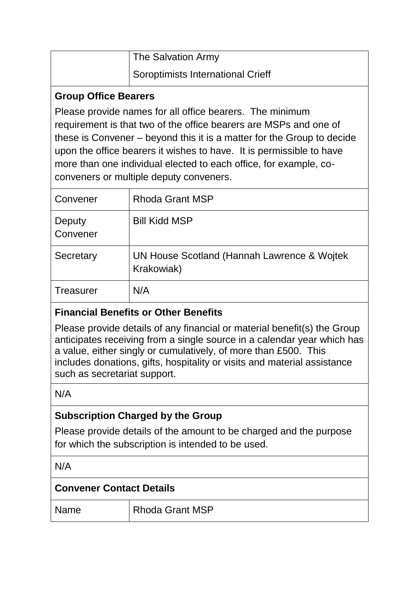| The Salvation Army                       |
|------------------------------------------|
| <b>Soroptimists International Crieff</b> |

#### **Group Office Bearers**

Please provide names for all office bearers. The minimum requirement is that two of the office bearers are MSPs and one of these is Convener – beyond this it is a matter for the Group to decide upon the office bearers it wishes to have. It is permissible to have more than one individual elected to each office, for example, coconveners or multiple deputy conveners.

| Convener           | <b>Rhoda Grant MSP</b>                                    |
|--------------------|-----------------------------------------------------------|
| Deputy<br>Convener | <b>Bill Kidd MSP</b>                                      |
| Secretary          | UN House Scotland (Hannah Lawrence & Wojtek<br>Krakowiak) |
| <b>Treasurer</b>   | N/A                                                       |

# **Financial Benefits or Other Benefits**

Please provide details of any financial or material benefit(s) the Group anticipates receiving from a single source in a calendar year which has a value, either singly or cumulatively, of more than £500. This includes donations, gifts, hospitality or visits and material assistance such as secretariat support.

N/A

## **Subscription Charged by the Group**

Please provide details of the amount to be charged and the purpose for which the subscription is intended to be used.

N/A

## **Convener Contact Details**

Name Rhoda Grant MSP